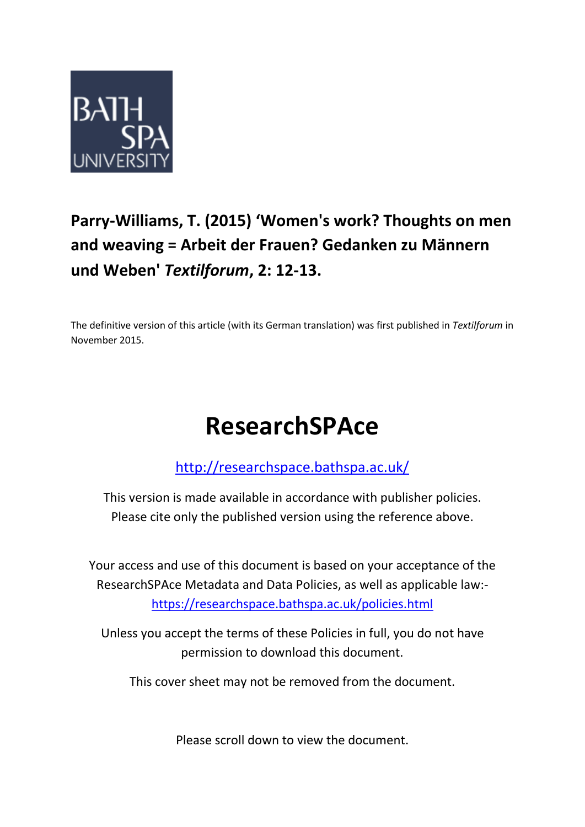

# **Parry-Williams, T. (2015) 'Women's work? Thoughts on men and weaving = Arbeit der Frauen? Gedanken zu Männern und Weben'** *Textilforum***, 2: 12-13.**

The definitive version of this article (with its German translation) was first published in *Textilforum* in November 2015.

# **ResearchSPAce**

<http://researchspace.bathspa.ac.uk/>

This version is made available in accordance with publisher policies. Please cite only the published version using the reference above.

Your access and use of this document is based on your acceptance of the ResearchSPAce Metadata and Data Policies, as well as applicable law: https://researchspace.bathspa.ac.uk/policies.html

Unless you accept the terms of these Policies in full, you do not have permission to download this document.

This cover sheet may not be removed from the document.

Please scroll down to view the document.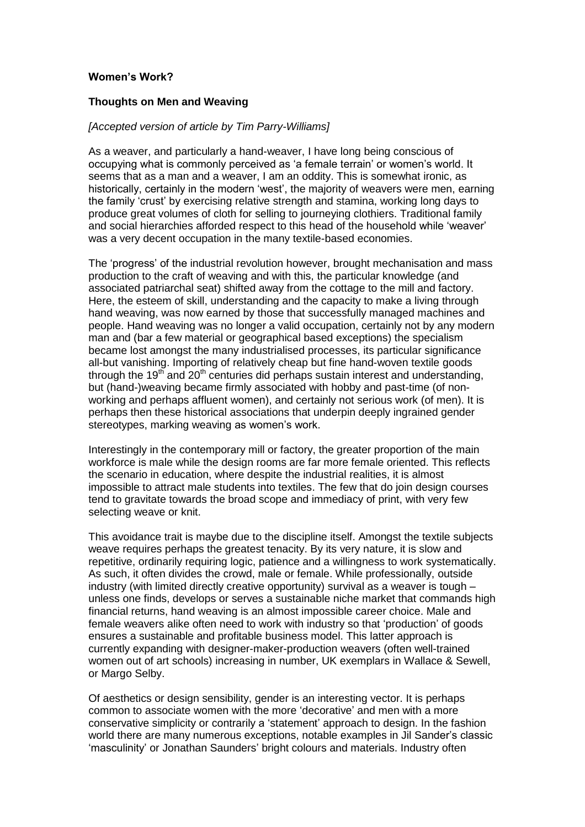## **Women's Work?**

### **Thoughts on Men and Weaving**

### *[Accepted version of article by Tim Parry-Williams]*

As a weaver, and particularly a hand-weaver, I have long being conscious of occupying what is commonly perceived as 'a female terrain' or women's world. It seems that as a man and a weaver, I am an oddity. This is somewhat ironic, as historically, certainly in the modern 'west', the majority of weavers were men, earning the family 'crust' by exercising relative strength and stamina, working long days to produce great volumes of cloth for selling to journeying clothiers. Traditional family and social hierarchies afforded respect to this head of the household while 'weaver' was a very decent occupation in the many textile-based economies.

The 'progress' of the industrial revolution however, brought mechanisation and mass production to the craft of weaving and with this, the particular knowledge (and associated patriarchal seat) shifted away from the cottage to the mill and factory. Here, the esteem of skill, understanding and the capacity to make a living through hand weaving, was now earned by those that successfully managed machines and people. Hand weaving was no longer a valid occupation, certainly not by any modern man and (bar a few material or geographical based exceptions) the specialism became lost amongst the many industrialised processes, its particular significance all-but vanishing. Importing of relatively cheap but fine hand-woven textile goods through the 19<sup>th</sup> and 20<sup>th</sup> centuries did perhaps sustain interest and understanding, but (hand-)weaving became firmly associated with hobby and past-time (of nonworking and perhaps affluent women), and certainly not serious work (of men). It is perhaps then these historical associations that underpin deeply ingrained gender stereotypes, marking weaving as women's work.

Interestingly in the contemporary mill or factory, the greater proportion of the main workforce is male while the design rooms are far more female oriented. This reflects the scenario in education, where despite the industrial realities, it is almost impossible to attract male students into textiles. The few that do join design courses tend to gravitate towards the broad scope and immediacy of print, with very few selecting weave or knit.

This avoidance trait is maybe due to the discipline itself. Amongst the textile subjects weave requires perhaps the greatest tenacity. By its very nature, it is slow and repetitive, ordinarily requiring logic, patience and a willingness to work systematically. As such, it often divides the crowd, male or female. While professionally, outside industry (with limited directly creative opportunity) survival as a weaver is tough – unless one finds, develops or serves a sustainable niche market that commands high financial returns, hand weaving is an almost impossible career choice. Male and female weavers alike often need to work with industry so that 'production' of goods ensures a sustainable and profitable business model. This latter approach is currently expanding with designer-maker-production weavers (often well-trained women out of art schools) increasing in number, UK exemplars in Wallace & Sewell, or Margo Selby.

Of aesthetics or design sensibility, gender is an interesting vector. It is perhaps common to associate women with the more 'decorative' and men with a more conservative simplicity or contrarily a 'statement' approach to design. In the fashion world there are many numerous exceptions, notable examples in Jil Sander's classic 'masculinity' or Jonathan Saunders' bright colours and materials. Industry often